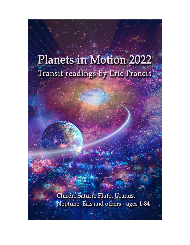# Planets in Motion 2022 Transit readings by Eric Francis.

Chiron, Saturn, Pluto, Uranus, Neptune, Eris and others - ages 1-84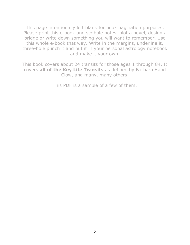This page intentionally left blank for book pagination purposes. Please print this e-book and scribble notes, plot a novel, design a bridge or write down something you will want to remember. Use this whole e-book that way. Write in the margins, underline it, three-hole punch it and put it in your personal astrology notebook and make it your own.

This book covers about 24 transits for those ages 1 through 84. It covers **all of the Key Life Transits** as defined by Barbara Hand Clow, and many, many others.

This PDF is a sample of a few of them.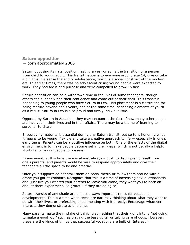### **Saturn opposition** — born approximately 2006

Saturn opposing its natal position, lasting a year or so, is the transition of a person from child to young adult. This transit happens to everyone around age 14, give or take a bit. It is in a sense the end of adolescence, which is a social construct of the modern era. In earlier times, there was no adolescent crisis; young people were expected to work. They had focus and purpose and were compelled to grow up fast.

Saturn opposition can be a withdrawn time in the lives of some teenagers, though others can suddenly find their confidence and come out of their shell. This transit is happening to young people who have Saturn in Leo. This placement is a classic one for being mature beyond one's years, and at the same time, sacrificing elements of youth as a result. Saturn in Leo is also proud and firmly individualistic.

Opposed by Saturn in Aquarius, they may encounter the fact of how many other people are involved in their lives and in their affairs. There may be a theme of learning to serve, or to share.

Encouraging maturity is essential during any Saturn transit, but so to is honoring what it means to be young, flexible and take a creative approach to life — especially in one's early teens. Parents can be a positive influence on both. One of the effects of the digital environment is to make people become set in their ways, which is not usually a helpful attribute for young people to possess.

In any event, at this time there is almost always a push to distinguish oneself from one's parents, and parents would be wise to respond appropriately and give their teenagers a little space to be and breathe.

Offer your support; do not stalk them on social media or follow them around with a drone you got at Walmart. Recognize that this is a time of increasing sexual awareness and, just like you wanted your parents to leave you alone, they want you to back off and let them experiment. Be grateful if they are doing so.

Saturn transits of any shade are almost always important times for vocational developments. This is a time when teens are naturally thinking about what they want to do with their lives, or preferably, experimenting with it directly. Encourage whatever interests they demonstrate at this time.

Many parents make the mistake of thinking something that their kid is into is "not going to make a good job," such as playing the bass guitar or taking care of dogs. However, these are the kinds of things that successful vocations are built of. Interest in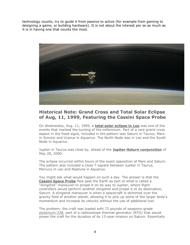technology counts; try to guide it from passive to active (for example from gaming to designing a game, or building hardware). It is not about the interest per se as much as it is in having one that counts the most.



# **Historical Note: Grand Cross and Total Solar Eclipse of Aug, 11, 1999, Featuring the Cassini Space Probe**

On Wednesday, Aug. 11, 1999, a **[total solar eclipse in Leo](https://www.planetwaves.net/thinking.html)** was one of the events that marked the turning of the millennium. Part of a rare grand cross aspect in the fixed signs, included in the pattern was Saturn in Taurus, Mars in Scorpio and Uranus in Aquarius. The North Node was in Leo and the South Node in Aquarius.

Jupiter in Taurus was close by, ahead of the **[Jupiter-Saturn conjunction](https://www.planetwaves.net/river.html)** of May 28, 2000.

The eclipse occurred within hours of the exact opposition of Mars and Saturn. The pattern also included a close T-square between Jupiter in Taurus, Mercury in Leo and Neptune in Aquarius.

You might ask what would happen on such a day. The answer is that the **[Cassini Space Probe](https://nssdc.gsfc.nasa.gov/nmc/spacecraft/display.action?id=1997-061A)** flew past the Earth as part of what is called a "slingshot" maneuver to propel it on its way to Jupiter, where flight controllers would perform another slingshot and propel it to its destination, Saturn. A slingshot maneuver is when a spacecraft is skimmed over the gravity field of another planet, allowing it to pick up some of the larger body's momentum and increase its velocity without the use of additional fuel.

The problem: the craft was loaded with 72 pounds of weapons-grade [plutonium-238,](https://www.wired.com/2013/09/plutonium-238-problem/) part of a radioisotope thermal generator (RTG) that would power the craft for the duration of its 13-year mission on Saturn. Essentially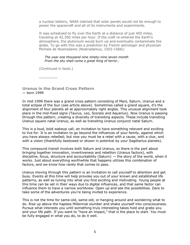a nuclear battery, NASA claimed that solar panels would not be enough to power the spacecraft and all of its instruments and experiments.

It was scheduled to fly over the Earth at a distance of just 450 miles, traveling at 42,300 miles per hour. If the craft re-entered the Earth's atmosphere, the plutonium would burn up and eventually contaminate the globe. To go with this was a prediction by French astrologer and physician Michele de Nostredame (Nostradamus, 1503-1566):

#### *The year one thousand nine ninety-nine seven month From the sky shall come a great King of terror…*

(Continued in book.)

**\_\_\_\_\_\_\_\_**

**Uranus in the Grand Cross Pattern** — born 1999

In mid-1999 there was a grand cross pattern consisting of Mars, Saturn, Uranus and a total eclipse of the Sun (see article above). Sometimes called a grand square, it's the alignment of four planets all at approximately right angles. This unusual alignment took place in the mid-fixed signs (Taurus, Leo, Scorpio and Aquarius). Now Uranus is passing through this pattern, creating a diversity of transiting aspects. These include transiting Uranus square natal Uranus, as well as transiting Uranus conjunct natal Saturn.

This is a loud, bold wakeup call, an invitation to have something relevant and exciting to live for. It is an invitation to go beyond the influences of your family, against which you have always rebelled; but now you must be a rebel with a cause, with a clue, and with a vision (thankfully bestowed or shown in potential by your Sagittarius planets).

This compound transit involves both Saturn and Uranus, so there is the part about bringing together innovation, inventiveness and rebellion (Uranus factors), with discipline, focus, structure and accountability (Saturn) — the story of the world, when it works. Just about everything worthwhile that happens utilizes this combination of factors, and we know how rarely that comes to pass.

Uranus moving through this pattern is an invitation to call yourself to attention and get busy. Events at this time will help provoke you out of your known and established life patterns, as well as tuning into what you find exciting and motivating. Young people at this time can be set in their ways due to digital influences, and that same factor can influence them to have a narrow worldview. Open up and see the possibilities. Dare to take some of the adventures you're being invited to experience.

This is not the time for same-old, same-old, or hanging around and wondering what to do. Rise up above the hapless Millennial slumber and shake yourself into consciousness. Pursue what interests you until something truly interesting takes hold and grabs you and your life path. If you want to "have an impact," that is the place to start. You must be fully engaged in what you do, to do it well.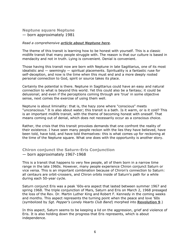## **Neptune square Neptune** — born approximately 1981

#### *Read a comprehensive [article about Neptune here](https://planetwaves.net/ps-neptune-in-pisces-parallel-worlds/)*.

The theme of this transit is learning how to be honest with yourself. This is a classic midlife transit that many people struggle with. The reason is that our culture is based in mendacity and not in truth. Lying is convenient. Denial is convenient.

Those having this transit now are born with Neptune in late Sagittarius, one of its most idealistic and  $-$  seemingly  $-$  spiritual placements. Spirituality is a fantastic ruse for self-deception, and now is the time when this must end and a more deeply rooted personal connection to God, spirit or source takes its place.

Certainly the potential is there. Neptune in Sagittarius could have an easy and natural connection to what is beyond this world. Yet this could also be a fantasy; it could be delusional; and even if the perceptions coming through are 'true' in some objective sense, next comes the exercise of using them well.

Neptune is about liminality: that is, the hazy zone where "conscious" meets "unconscious." It is also about water; this transit is a bath. Is it warm, or is it cold? This is an important midlife transit, with the theme of becoming honest with oneself. That means coming out of denial, which does not necessarily occur as a conscious choice.

Rather, the crisis that this transit provokes demands that one confront the reality of their existence. I have seen many people reckon with the lies they have believed, have been told, have told, and have told themselves: this is what comes up for reckoning at the time of the Neptune square. What one does with the opportunity is another story.

## **Chiron conjunct the Saturn-Eris Conjunction** — born approximately 1967-1968

This is a transit that happens to very few people, all of them born in a narrow time range in the late 1960s. However, many people experience Chiron conjunct Saturn or vice versa. This is an important combination because of Chiron's connection to Saturn: all centaurs are orbit-crossers, and Chiron orbits inside of Saturn's path for a while during each 50-year cycle.

Saturn conjunct Eris was a peak '60s-era aspect that lasted between summer 1967 and spring 1968. The triple conjunction of Mars, Saturn and Eris on March 2, 1968 presaged the loss of the Rev. Dr. Martin Luther King and Robert F. Kennedy in the coming weeks and months. This aspect represents the turning point when the peace and love '60s (symbolized by *Sgt. Pepper's Lonely Hearts Club Band*) morphed into **[Revolution 9](https://www.youtube.com/watch?v=SNdcFPjGsm8)**.)

In this aspect, Saturn seems to be keeping a lid on the aggression, grief and violence of Eris. It is also holding down the progress that Eris represents, which is about independence.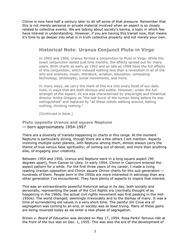Chiron is now here half a century later to let off some of that pressure. Remember that this is not merely personal or private material involved when an aspect is so closely related to collective events. We are talking about society's karma, a topic in which few have interest in understanding. However, if you are having this transit now, that means it's time to go deeper into what is in truth collective property and not merely your own.

# **Historical Note**: **Uranus Conjunct Pluto in Virgo**

In 1965 and 1966, Uranus formed a conjunction to Pluto in Virgo. While the exact conjunction lasted just nine months, the effects spread out for many years. Birth charts as early as 1962 and as late as 1968 have the full effects of this conjunction, which induced nothing less than a revolution in all of the arts and sciences, music, literature, aviation, education, computing technology, philosophy, social movements, and more.

In many ways, we carry the mark of this era into every facet of our daily lives, in ways that are both obvious and subtle. However, under the full strength of the aspect, its era was characterized by playwright and theatrical director Andre Gregory as "the last burst of the human being before he was extinguished" and replaced by "all these robots walking around, feeling nothing, thinking nothing."

(Continued in book.)

## **Pluto opposite Uranus and square Neptune** — born approximately 1954-1957

There are a diversity of transits happening to charts in this range. At the moment Neptune is particularly strong, though there are a few others I will mention. Aspects involving multiple outer planets, with Neptune among them, almost always carry the theme of true versus false spirituality; of coming out of denial; and more than anything else, of engaging your creativity.

Between 1954 and 1956, Uranus and Neptune were in a long square aspect (90 degrees apart), from Cancer to Libra. In early 1954, Chiron in Capricorn entered the aspect pattern for a while. For the first three years of my career, I made a living reading Uranian opposition and Chiron square Chiron charts for this sub-generation hundreds of them. People born in the 1950s are more interested in astrology than any other generation I've encountered. They have plenty of aspects to inspire that interest.

This was an extraordinarily powerful historical setup in its day, both socially and personally, representing the peak of the Civil Rights era (normally thought of as happening in the 1960s, the actual civil rights movement was first peaking in the mid-1950s). The world changed, seemingly irrevocably and to the dismay of many. It was a time of surrendering old values in a very short time. The painful Jim Crow era of segregation was coming to an end, or society was at least trying. Many of these gains are being reversed today as we enter a new phase of segregation.

*Brown v. Board of Education* was decided on May 17, 1954. Rosa Parks' famous ride at the front of the bus was on Dec. 1, 1955. This was also the era of the development of